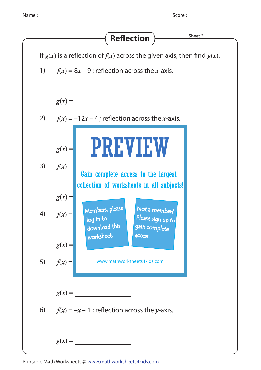